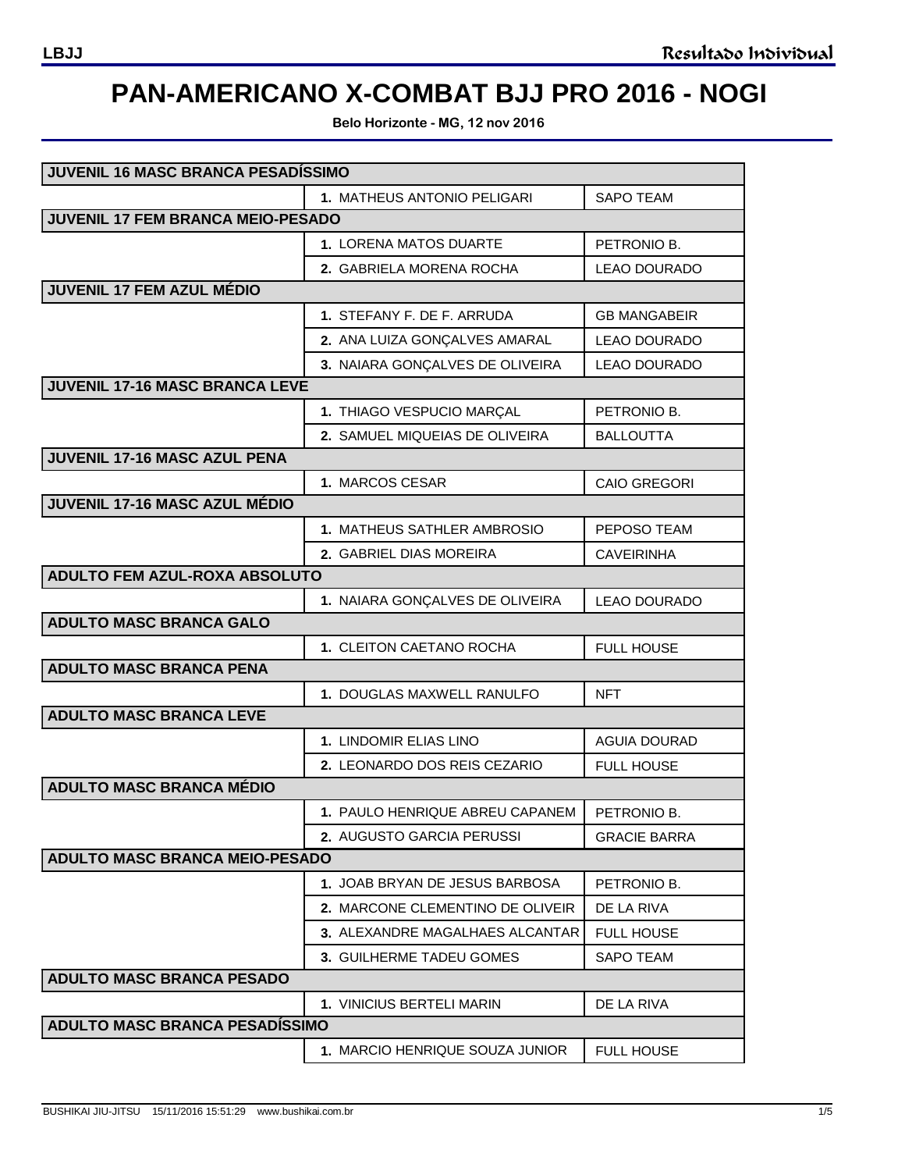## **PAN-AMERICANO X-COMBAT BJJ PRO 2016 - NOGI**

**Belo Horizonte - MG, 12 nov 2016**

| JUVENIL 16 MASC BRANCA PESADÍSSIMO    |                                  |                     |  |  |
|---------------------------------------|----------------------------------|---------------------|--|--|
|                                       | 1. MATHEUS ANTONIO PELIGARI      | <b>SAPO TEAM</b>    |  |  |
| JUVENIL 17 FEM BRANCA MEIO-PESADO     |                                  |                     |  |  |
|                                       | 1. LORENA MATOS DUARTE           | PETRONIO B.         |  |  |
|                                       | 2. GABRIELA MORENA ROCHA         | LEAO DOURADO        |  |  |
| JUVENIL 17 FEM AZUL MÉDIO             |                                  |                     |  |  |
|                                       | 1. STEFANY F. DE F. ARRUDA       | <b>GB MANGABEIR</b> |  |  |
|                                       | 2. ANA LUIZA GONÇALVES AMARAL    | <b>LEAO DOURADO</b> |  |  |
|                                       | 3. NAIARA GONÇALVES DE OLIVEIRA  | <b>LEAO DOURADO</b> |  |  |
| JUVENIL 17-16 MASC BRANCA LEVE        |                                  |                     |  |  |
|                                       | 1. THIAGO VESPUCIO MARÇAL        | PETRONIO B.         |  |  |
|                                       | 2. SAMUEL MIQUEIAS DE OLIVEIRA   | <b>BALLOUTTA</b>    |  |  |
| JUVENIL 17-16 MASC AZUL PENA          |                                  |                     |  |  |
|                                       | 1. MARCOS CESAR                  | <b>CAIO GREGORI</b> |  |  |
| JUVENIL 17-16 MASC AZUL MÉDIO         |                                  |                     |  |  |
|                                       | 1. MATHEUS SATHLER AMBROSIO      | PEPOSO TEAM         |  |  |
|                                       | 2. GABRIEL DIAS MOREIRA          | <b>CAVEIRINHA</b>   |  |  |
| ADULTO FEM AZUL-ROXA ABSOLUTO         |                                  |                     |  |  |
|                                       | 1. NAIARA GONÇALVES DE OLIVEIRA  | <b>LEAO DOURADO</b> |  |  |
| <b>ADULTO MASC BRANCA GALO</b>        |                                  |                     |  |  |
|                                       | 1. CLEITON CAETANO ROCHA         | <b>FULL HOUSE</b>   |  |  |
| <b>ADULTO MASC BRANCA PENA</b>        |                                  |                     |  |  |
|                                       | 1. DOUGLAS MAXWELL RANULFO       | <b>NFT</b>          |  |  |
| <b>ADULTO MASC BRANCA LEVE</b>        |                                  |                     |  |  |
|                                       | 1. LINDOMIR ELIAS LINO           | <b>AGUIA DOURAD</b> |  |  |
| <b>ADULTO MASC BRANCA MÉDIO</b>       | 2. LEONARDO DOS REIS CEZARIO     | <b>FULL HOUSE</b>   |  |  |
|                                       |                                  |                     |  |  |
|                                       | 1. PAULO HENRIQUE ABREU CAPANEM  | PETRONIO B.         |  |  |
| <b>ADULTO MASC BRANCA MEIO-PESADO</b> | 2. AUGUSTO GARCIA PERUSSI        | <b>GRACIE BARRA</b> |  |  |
|                                       | 1. JOAB BRYAN DE JESUS BARBOSA   | PETRONIO B.         |  |  |
|                                       | 2. MARCONE CLEMENTINO DE OLIVEIR |                     |  |  |
|                                       | 3. ALEXANDRE MAGALHAES ALCANTAR  | DE LA RIVA          |  |  |
|                                       |                                  | <b>FULL HOUSE</b>   |  |  |
| <b>ADULTO MASC BRANCA PESADO</b>      | <b>3. GUILHERME TADEU GOMES</b>  | <b>SAPO TEAM</b>    |  |  |
|                                       | 1. VINICIUS BERTELI MARIN        | DE LA RIVA          |  |  |
| <b>ADULTO MASC BRANCA PESADISSIMO</b> |                                  |                     |  |  |
|                                       | 1. MARCIO HENRIQUE SOUZA JUNIOR  | <b>FULL HOUSE</b>   |  |  |
|                                       |                                  |                     |  |  |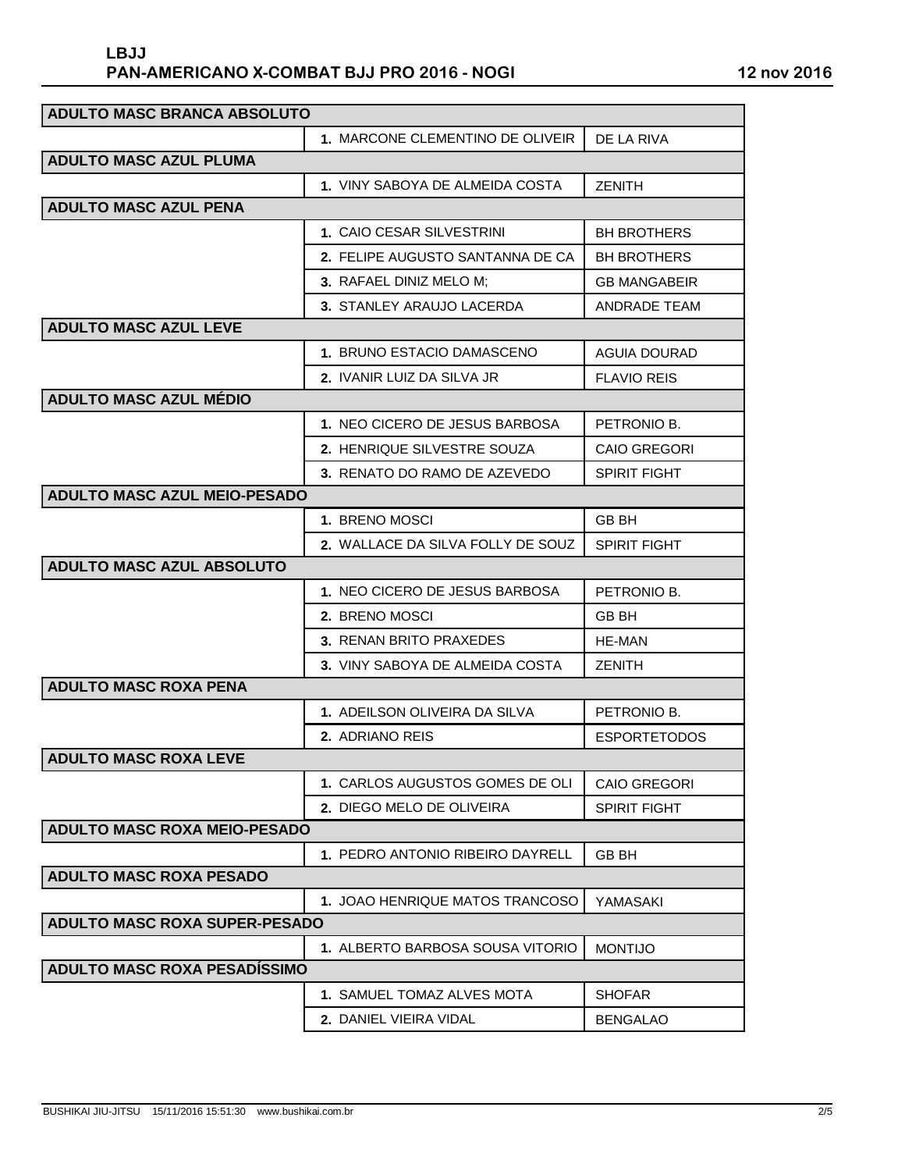| ADULTO MASC BRANCA ABSOLUTO          |                                      |                     |  |  |
|--------------------------------------|--------------------------------------|---------------------|--|--|
|                                      | 1. MARCONE CLEMENTINO DE OLIVEIR     | DE LA RIVA          |  |  |
| <b>ADULTO MASC AZUL PLUMA</b>        |                                      |                     |  |  |
|                                      | 1. VINY SABOYA DE ALMEIDA COSTA      | <b>ZENITH</b>       |  |  |
| <b>ADULTO MASC AZUL PENA</b>         |                                      |                     |  |  |
|                                      | <b>1. CAIO CESAR SILVESTRINI</b>     | <b>BH BROTHERS</b>  |  |  |
|                                      | 2. FELIPE AUGUSTO SANTANNA DE CA     | <b>BH BROTHERS</b>  |  |  |
|                                      | 3. RAFAEL DINIZ MELO M:              | <b>GB MANGABEIR</b> |  |  |
|                                      | 3. STANLEY ARAUJO LACERDA            | <b>ANDRADE TEAM</b> |  |  |
| <b>ADULTO MASC AZUL LEVE</b>         |                                      |                     |  |  |
|                                      | 1. BRUNO ESTACIO DAMASCENO           | <b>AGUIA DOURAD</b> |  |  |
|                                      | <b>2. IVANIR LUIZ DA SILVA JR</b>    | <b>FLAVIO REIS</b>  |  |  |
| <b>ADULTO MASC AZUL MÉDIO</b>        |                                      |                     |  |  |
|                                      | 1. NEO CICERO DE JESUS BARBOSA       | PETRONIO B.         |  |  |
|                                      | 2. HENRIQUE SILVESTRE SOUZA          | CAIO GREGORI        |  |  |
|                                      | 3. RENATO DO RAMO DE AZEVEDO         | <b>SPIRIT FIGHT</b> |  |  |
| <b>ADULTO MASC AZUL MEIO-PESADO</b>  |                                      |                     |  |  |
|                                      | 1. BRENO MOSCI                       | <b>GB BH</b>        |  |  |
|                                      | 2. WALLACE DA SILVA FOLLY DE SOUZ    | <b>SPIRIT FIGHT</b> |  |  |
| <b>ADULTO MASC AZUL ABSOLUTO</b>     |                                      |                     |  |  |
|                                      | 1.NEO CICERO DE JESUS BARBOSA        | PETRONIO B.         |  |  |
|                                      | 2. BRENO MOSCI                       | <b>GB BH</b>        |  |  |
|                                      | 3. RENAN BRITO PRAXEDES              | HE-MAN              |  |  |
|                                      | 3. VINY SABOYA DE ALMEIDA COSTA      | <b>ZENITH</b>       |  |  |
| <b>ADULTO MASC ROXA PENA</b>         |                                      |                     |  |  |
|                                      | <b>1. ADEILSON OLIVEIRA DA SILVA</b> | PETRONIO B.         |  |  |
|                                      | 2. ADRIANO REIS                      | <b>ESPORTETODOS</b> |  |  |
| <b>ADULTO MASC ROXA LEVE</b>         |                                      |                     |  |  |
|                                      | 1. CARLOS AUGUSTOS GOMES DE OLI      | <b>CAIO GREGORI</b> |  |  |
|                                      | 2. DIEGO MELO DE OLIVEIRA            | <b>SPIRIT FIGHT</b> |  |  |
| <b>ADULTO MASC ROXA MEIO-PESADO</b>  |                                      |                     |  |  |
|                                      | 1. PEDRO ANTONIO RIBEIRO DAYRELL     | <b>GB BH</b>        |  |  |
| <b>ADULTO MASC ROXA PESADO</b>       |                                      |                     |  |  |
|                                      | 1. JOAO HENRIQUE MATOS TRANCOSO      | YAMASAKI            |  |  |
| <b>ADULTO MASC ROXA SUPER-PESADO</b> |                                      |                     |  |  |
|                                      | 1. ALBERTO BARBOSA SOUSA VITORIO     | <b>MONTIJO</b>      |  |  |
| <b>ADULTO MASC ROXA PESADISSIMO</b>  |                                      |                     |  |  |
|                                      | 1. SAMUEL TOMAZ ALVES MOTA           | <b>SHOFAR</b>       |  |  |
|                                      | 2. DANIEL VIEIRA VIDAL               | <b>BENGALAO</b>     |  |  |
|                                      |                                      |                     |  |  |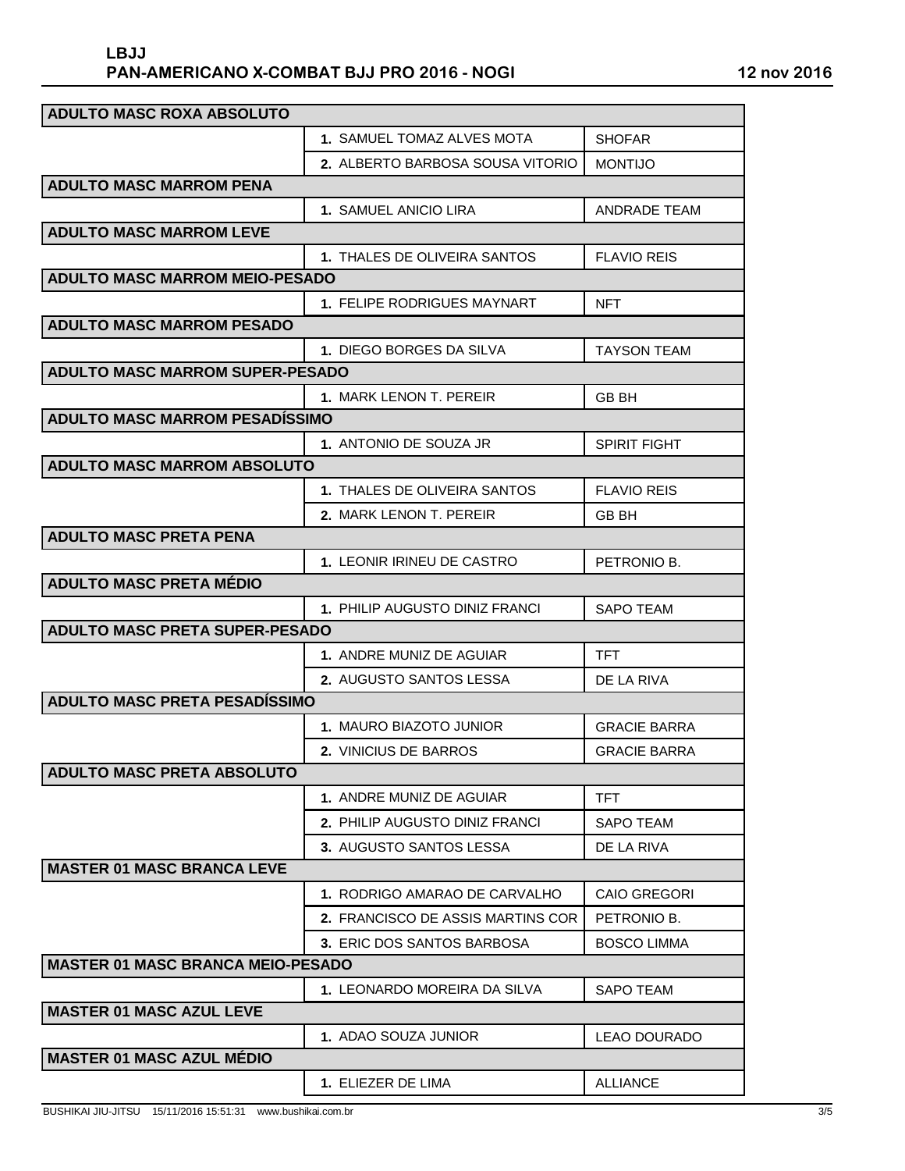## **PAN-AMERICANO X-COMBAT BJJ PRO 2016 - NOGI 12 nov 2016 LBJJ**

| <b>ADULTO MASC ROXA ABSOLUTO</b>         |                                          |                     |  |  |
|------------------------------------------|------------------------------------------|---------------------|--|--|
|                                          | <b>1. SAMUEL TOMAZ ALVES MOTA</b>        | <b>SHOFAR</b>       |  |  |
|                                          | <b>2. ALBERTO BARBOSA SOUSA VITORIO</b>  | <b>MONTIJO</b>      |  |  |
| <b>ADULTO MASC MARROM PENA</b>           |                                          |                     |  |  |
|                                          | <b>1. SAMUEL ANICIO LIRA</b>             | <b>ANDRADE TEAM</b> |  |  |
| <b>ADULTO MASC MARROM LEVE</b>           |                                          |                     |  |  |
|                                          | 1. THALES DE OLIVEIRA SANTOS             | <b>FLAVIO REIS</b>  |  |  |
| <b>ADULTO MASC MARROM MEIO-PESADO</b>    |                                          |                     |  |  |
|                                          | <b>1. FELIPE RODRIGUES MAYNART</b>       | <b>NFT</b>          |  |  |
| <b>ADULTO MASC MARROM PESADO</b>         |                                          |                     |  |  |
|                                          | 1. DIEGO BORGES DA SILVA                 | <b>TAYSON TEAM</b>  |  |  |
| <b>ADULTO MASC MARROM SUPER-PESADO</b>   |                                          |                     |  |  |
|                                          | 1. MARK LENON T. PEREIR                  | GB BH               |  |  |
| <b>ADULTO MASC MARROM PESADÍSSIMO</b>    |                                          |                     |  |  |
|                                          | 1. ANTONIO DE SOUZA JR                   | <b>SPIRIT FIGHT</b> |  |  |
| <b>ADULTO MASC MARROM ABSOLUTO</b>       |                                          |                     |  |  |
|                                          | 1. THALES DE OLIVEIRA SANTOS             | <b>FLAVIO REIS</b>  |  |  |
|                                          | 2. MARK LENON T. PEREIR                  | <b>GB BH</b>        |  |  |
| <b>ADULTO MASC PRETA PENA</b>            |                                          |                     |  |  |
|                                          | 1. LEONIR IRINEU DE CASTRO               | PETRONIO B.         |  |  |
| <b>ADULTO MASC PRETA MÉDIO</b>           |                                          |                     |  |  |
|                                          | 1. PHILIP AUGUSTO DINIZ FRANCI           | <b>SAPO TEAM</b>    |  |  |
| <b>ADULTO MASC PRETA SUPER-PESADO</b>    |                                          |                     |  |  |
|                                          | 1. ANDRE MUNIZ DE AGUIAR                 | <b>TFT</b>          |  |  |
|                                          | <b>2. AUGUSTO SANTOS LESSA</b>           | DE LA RIVA          |  |  |
| <b>ADULTO MASC PRETA PESADÍSSIMO</b>     |                                          |                     |  |  |
|                                          | 1. MAURO BIAZOTO JUNIOR                  | <b>GRACIE BARRA</b> |  |  |
|                                          | 2. VINICIUS DE BARROS                    | <b>GRACIE BARRA</b> |  |  |
| <b>ADULTO MASC PRETA ABSOLUTO</b>        |                                          |                     |  |  |
|                                          | 1. ANDRE MUNIZ DE AGUIAR                 | TFT                 |  |  |
|                                          | <b>2. PHILIP AUGUSTO DINIZ FRANCI</b>    | SAPO TEAM           |  |  |
|                                          | 3. AUGUSTO SANTOS LESSA                  | DE LA RIVA          |  |  |
| <b>MASTER 01 MASC BRANCA LEVE</b>        |                                          |                     |  |  |
|                                          | 1. RODRIGO AMARAO DE CARVALHO            | <b>CAIO GREGORI</b> |  |  |
|                                          | <b>2. FRANCISCO DE ASSIS MARTINS COR</b> | PETRONIO B.         |  |  |
|                                          | 3. ERIC DOS SANTOS BARBOSA               | <b>BOSCO LIMMA</b>  |  |  |
| <b>MASTER 01 MASC BRANCA MEIO-PESADO</b> |                                          |                     |  |  |
|                                          | 1. LEONARDO MOREIRA DA SILVA             | <b>SAPO TEAM</b>    |  |  |
| <b>MASTER 01 MASC AZUL LEVE</b>          |                                          |                     |  |  |
|                                          | 1. ADAO SOUZA JUNIOR                     | LEAO DOURADO        |  |  |
| <b>MASTER 01 MASC AZUL MÉDIO</b>         |                                          |                     |  |  |
|                                          | 1. ELIEZER DE LIMA                       | <b>ALLIANCE</b>     |  |  |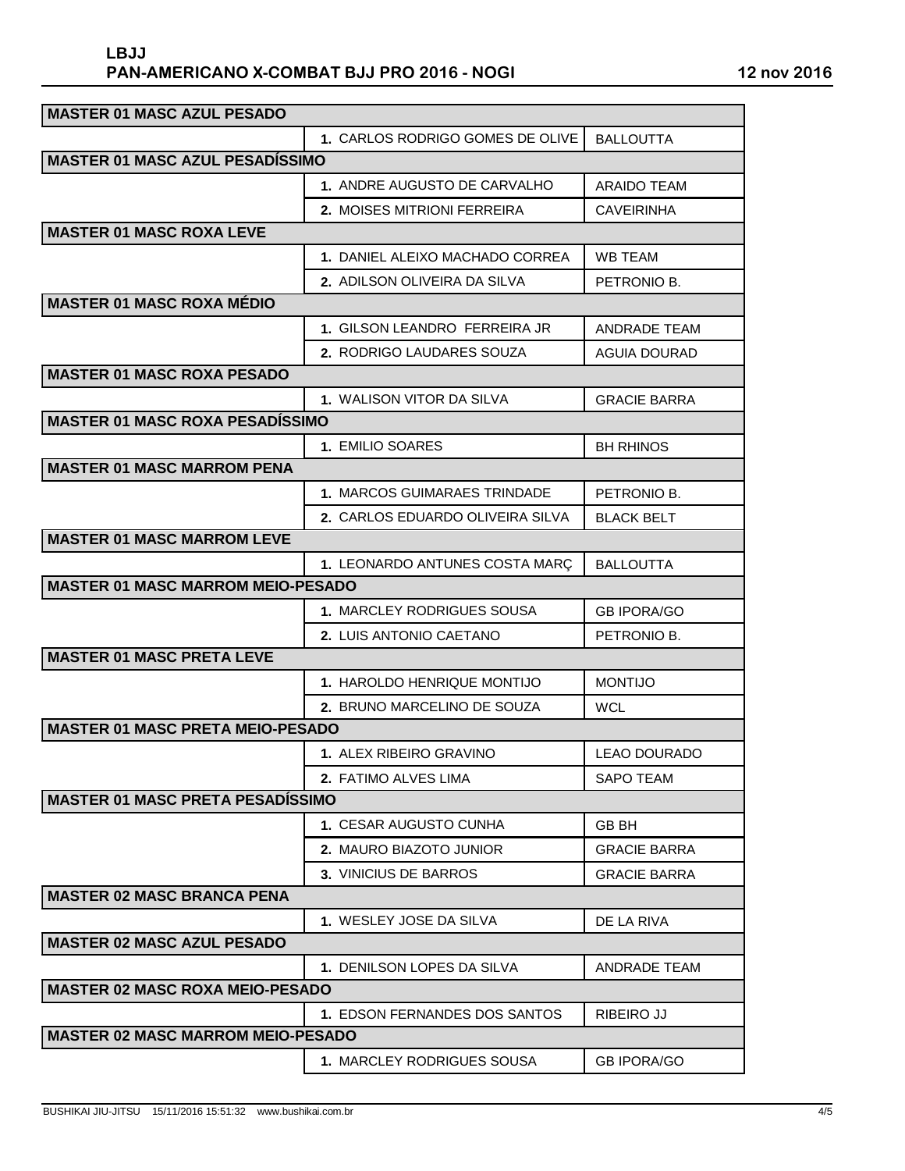## **PAN-AMERICANO X-COMBAT BJJ PRO 2016 - NOGI 12 nov 2016 LBJJ**

| <b>MASTER 01 MASC AZUL PESADO</b>        |                                   |                     |  |  |
|------------------------------------------|-----------------------------------|---------------------|--|--|
|                                          | 1. CARLOS RODRIGO GOMES DE OLIVE  | <b>BALLOUTTA</b>    |  |  |
| <b>MASTER 01 MASC AZUL PESADÍSSIMO</b>   |                                   |                     |  |  |
|                                          | 1. ANDRE AUGUSTO DE CARVALHO      | <b>ARAIDO TEAM</b>  |  |  |
|                                          | 2. MOISES MITRIONI FERREIRA       | CAVEIRINHA          |  |  |
| <b>MASTER 01 MASC ROXA LEVE</b>          |                                   |                     |  |  |
|                                          | 1. DANIEL ALEIXO MACHADO CORREA   | WB TEAM             |  |  |
|                                          | 2. ADILSON OLIVEIRA DA SILVA      | PETRONIO B.         |  |  |
| <b>MASTER 01 MASC ROXA MÉDIO</b>         |                                   |                     |  |  |
|                                          | 1. GILSON LEANDRO FERREIRA JR     | ANDRADE TEAM        |  |  |
|                                          | 2. RODRIGO LAUDARES SOUZA         | <b>AGUIA DOURAD</b> |  |  |
| <b>MASTER 01 MASC ROXA PESADO</b>        |                                   |                     |  |  |
|                                          | 1. WALISON VITOR DA SILVA         | <b>GRACIE BARRA</b> |  |  |
| <b>MASTER 01 MASC ROXA PESADISSIMO</b>   |                                   |                     |  |  |
|                                          | 1. EMILIO SOARES                  | <b>BH RHINOS</b>    |  |  |
| <b>MASTER 01 MASC MARROM PENA</b>        |                                   |                     |  |  |
|                                          | 1. MARCOS GUIMARAES TRINDADE      | PETRONIO B.         |  |  |
|                                          | 2. CARLOS EDUARDO OLIVEIRA SILVA  | <b>BLACK BELT</b>   |  |  |
| <b>MASTER 01 MASC MARROM LEVE</b>        |                                   |                     |  |  |
|                                          | 1. LEONARDO ANTUNES COSTA MARÇ    | <b>BALLOUTTA</b>    |  |  |
| <b>MASTER 01 MASC MARROM MEIO-PESADO</b> |                                   |                     |  |  |
|                                          | <b>1. MARCLEY RODRIGUES SOUSA</b> | <b>GB IPORA/GO</b>  |  |  |
|                                          | <b>2. LUIS ANTONIO CAETANO</b>    | PETRONIO B.         |  |  |
| <b>MASTER 01 MASC PRETA LEVE</b>         |                                   |                     |  |  |
|                                          | 1. HAROLDO HENRIQUE MONTIJO       | <b>MONTIJO</b>      |  |  |
|                                          | 2. BRUNO MARCELINO DE SOUZA       | WCL                 |  |  |
| <b>MASTER 01 MASC PRETA MEIO-PESADO</b>  |                                   |                     |  |  |
|                                          | 1. ALEX RIBEIRO GRAVINO           | LEAO DOURADO        |  |  |
|                                          | 2. FATIMO ALVES LIMA              | <b>SAPO TEAM</b>    |  |  |
| <b>MASTER 01 MASC PRETA PESADISSIMO</b>  |                                   |                     |  |  |
|                                          | 1. CESAR AUGUSTO CUNHA            | GB BH               |  |  |
|                                          | 2. MAURO BIAZOTO JUNIOR           | <b>GRACIE BARRA</b> |  |  |
|                                          | 3. VINICIUS DE BARROS             | <b>GRACIE BARRA</b> |  |  |
| <b>MASTER 02 MASC BRANCA PENA</b>        |                                   |                     |  |  |
|                                          | 1. WESLEY JOSE DA SILVA           | DE LA RIVA          |  |  |
| <b>MASTER 02 MASC AZUL PESADO</b>        |                                   |                     |  |  |
|                                          | 1. DENILSON LOPES DA SILVA        | ANDRADE TEAM        |  |  |
| <b>MASTER 02 MASC ROXA MEIO-PESADO</b>   |                                   |                     |  |  |
|                                          | 1. EDSON FERNANDES DOS SANTOS     | RIBEIRO JJ          |  |  |
| <b>MASTER 02 MASC MARROM MEIO-PESADO</b> |                                   |                     |  |  |
|                                          | 1. MARCLEY RODRIGUES SOUSA        | <b>GB IPORA/GO</b>  |  |  |